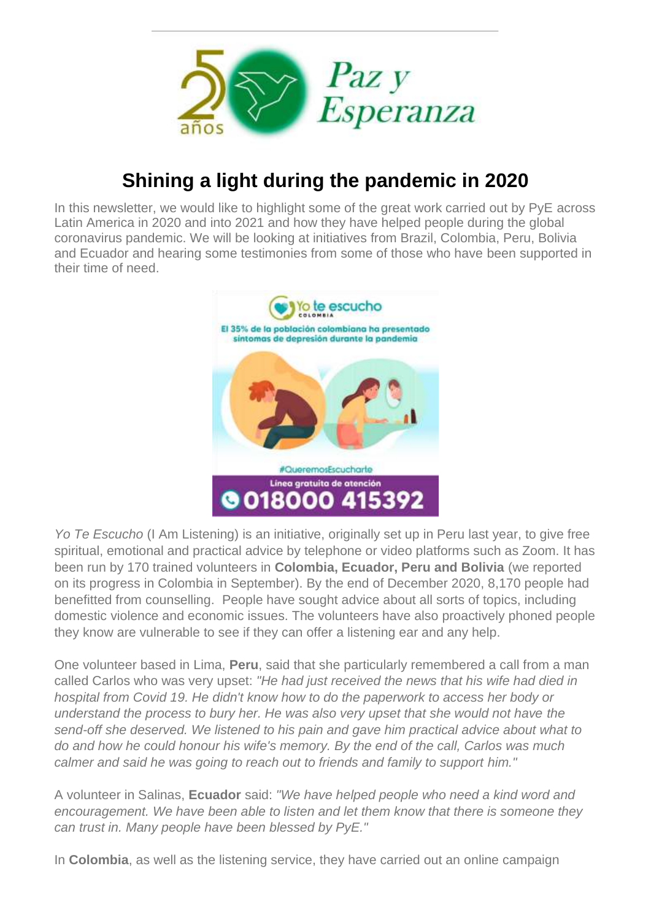

## **Shining a light during the pandemic in 2020**

In this newsletter, we would like to highlight some of the great work carried out by PyE across Latin America in 2020 and into 2021 and how they have helped people during the global coronavirus pandemic. We will be looking at initiatives from Brazil, Colombia, Peru, Bolivia and Ecuador and hearing some testimonies from some of those who have been supported in their time of need.



*Yo Te Escucho* (I Am Listening) is an initiative, originally set up in Peru last year, to give free spiritual, emotional and practical advice by telephone or video platforms such as Zoom. It has been run by 170 trained volunteers in **Colombia, Ecuador, Peru and Bolivia** (we reported on its progress in Colombia in September). By the end of December 2020, 8,170 people had benefitted from counselling. People have sought advice about all sorts of topics, including domestic violence and economic issues. The volunteers have also proactively phoned people they know are vulnerable to see if they can offer a listening ear and any help.

One volunteer based in Lima, **Peru**, said that she particularly remembered a call from a man called Carlos who was very upset: *"He had just received the news that his wife had died in hospital from Covid 19. He didn't know how to do the paperwork to access her body or understand the process to bury her. He was also very upset that she would not have the send-off she deserved. We listened to his pain and gave him practical advice about what to do and how he could honour his wife's memory. By the end of the call, Carlos was much calmer and said he was going to reach out to friends and family to support him."*

A volunteer in Salinas, **Ecuador** said: *"We have helped people who need a kind word and encouragement. We have been able to listen and let them know that there is someone they can trust in. Many people have been blessed by PyE."*

In **Colombia**, as well as the listening service, they have carried out an online campaign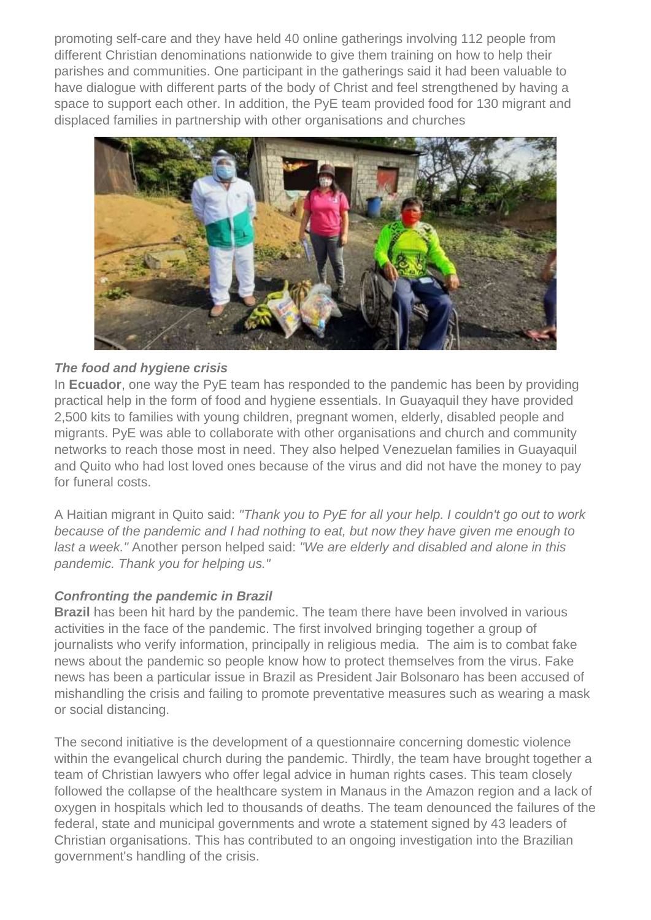promoting self-care and they have held 40 online gatherings involving 112 people from different Christian denominations nationwide to give them training on how to help their parishes and communities. One participant in the gatherings said it had been valuable to have dialogue with different parts of the body of Christ and feel strengthened by having a space to support each other. In addition, the PyE team provided food for 130 migrant and displaced families in partnership with other organisations and churches



## *The food and hygiene crisis*

In **Ecuador**, one way the PyE team has responded to the pandemic has been by providing practical help in the form of food and hygiene essentials. In Guayaquil they have provided 2,500 kits to families with young children, pregnant women, elderly, disabled people and migrants. PyE was able to collaborate with other organisations and church and community networks to reach those most in need. They also helped Venezuelan families in Guayaquil and Quito who had lost loved ones because of the virus and did not have the money to pay for funeral costs.

A Haitian migrant in Quito said: *"Thank you to PyE for all your help. I couldn't go out to work because of the pandemic and I had nothing to eat, but now they have given me enough to last a week."* Another person helped said: *"We are elderly and disabled and alone in this pandemic. Thank you for helping us."*

## *Confronting the pandemic in Brazil*

**Brazil** has been hit hard by the pandemic. The team there have been involved in various activities in the face of the pandemic. The first involved bringing together a group of journalists who verify information, principally in religious media. The aim is to combat fake news about the pandemic so people know how to protect themselves from the virus. Fake news has been a particular issue in Brazil as President Jair Bolsonaro has been accused of mishandling the crisis and failing to promote preventative measures such as wearing a mask or social distancing.

The second initiative is the development of a questionnaire concerning domestic violence within the evangelical church during the pandemic. Thirdly, the team have brought together a team of Christian lawyers who offer legal advice in human rights cases. This team closely followed the collapse of the healthcare system in Manaus in the Amazon region and a lack of oxygen in hospitals which led to thousands of deaths. The team denounced the failures of the federal, state and municipal governments and wrote a statement signed by 43 leaders of Christian organisations. This has contributed to an ongoing investigation into the Brazilian government's handling of the crisis.